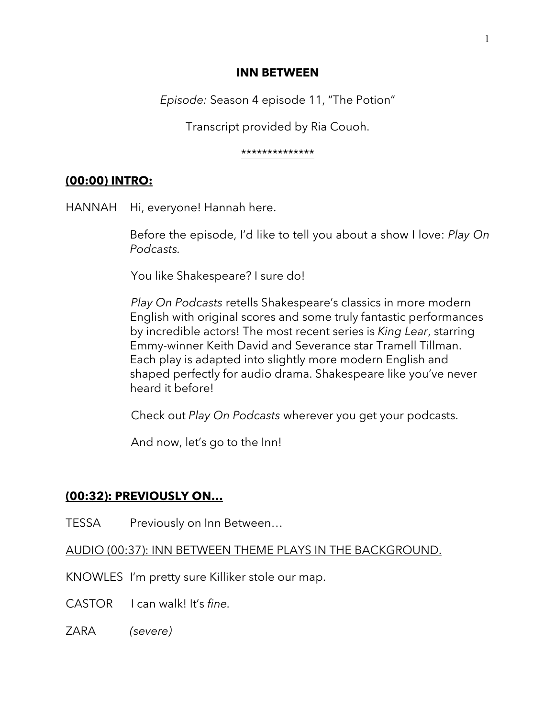#### **INN BETWEEN**

*Episode:* Season 4 episode 11, "The Potion"

Transcript provided by Ria Couoh.

#### \*\*\*\*\*\*\*\*\*\*\*\*\*\*

## **(00:00) INTRO:**

HANNAH Hi, everyone! Hannah here.

Before the episode, I'd like to tell you about a show I love: *Play On Podcasts.* 

You like Shakespeare? I sure do!

*Play On Podcasts* retells Shakespeare's classics in more modern English with original scores and some truly fantastic performances by incredible actors! The most recent series is *King Lear*, starring Emmy-winner Keith David and Severance star Tramell Tillman. Each play is adapted into slightly more modern English and shaped perfectly for audio drama. Shakespeare like you've never heard it before!

Check out *Play On Podcasts* wherever you get your podcasts.

And now, let's go to the Inn!

# **(00:32): PREVIOUSLY ON…**

TESSA Previously on Inn Between…

AUDIO (00:37): INN BETWEEN THEME PLAYS IN THE BACKGROUND.

KNOWLES I'm pretty sure Killiker stole our map.

CASTOR I can walk! It's *fine.*

ZARA *(severe)*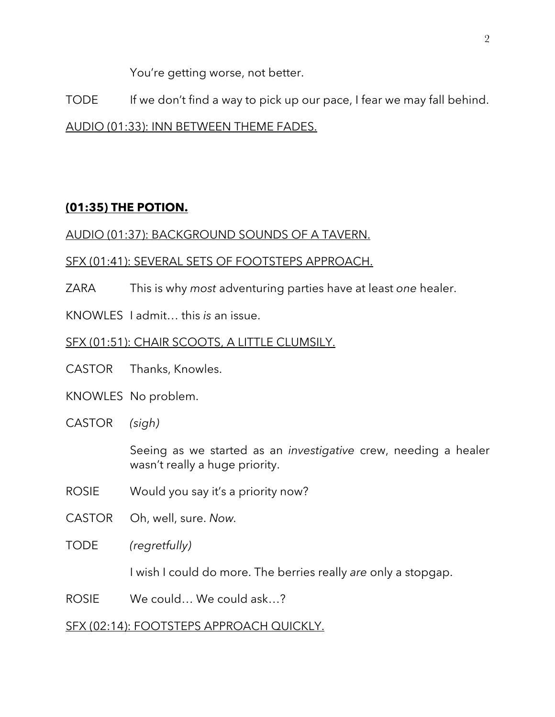You're getting worse, not better.

TODE If we don't find a way to pick up our pace, I fear we may fall behind.

AUDIO (01:33): INN BETWEEN THEME FADES.

# **(01:35) THE POTION.**

# AUDIO (01:37): BACKGROUND SOUNDS OF A TAVERN.

# SFX (01:41): SEVERAL SETS OF FOOTSTEPS APPROACH.

- ZARA This is why *most* adventuring parties have at least *one* healer.
- KNOWLES I admit… this *is* an issue.

# SFX (01:51): CHAIR SCOOTS, A LITTLE CLUMSILY.

- CASTOR Thanks, Knowles.
- KNOWLES No problem.
- CASTOR *(sigh)*

Seeing as we started as an *investigative* crew, needing a healer wasn't really a huge priority.

- ROSIE Would you say it's a priority now?
- CASTOR Oh, well, sure. *Now.*
- TODE *(regretfully)*

I wish I could do more. The berries really *are* only a stopgap.

ROSIE We could… We could ask…?

# SFX (02:14): FOOTSTEPS APPROACH QUICKLY.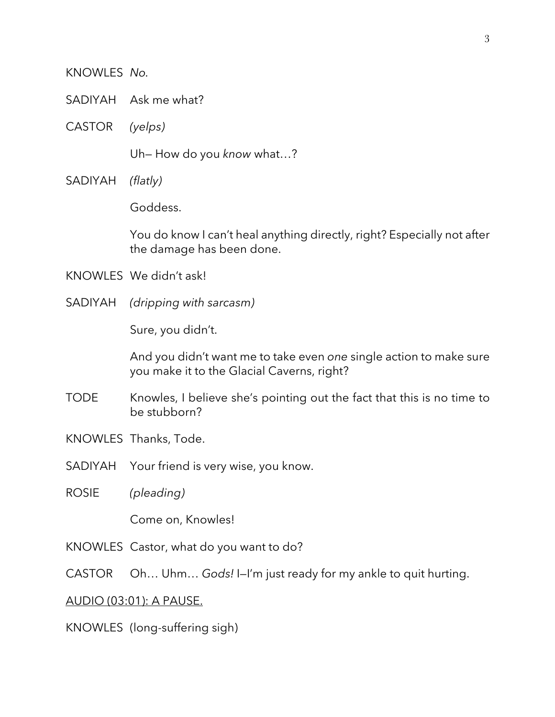#### KNOWLES *No.*

- SADIYAH Ask me what?
- CASTOR *(yelps)*

Uh— How do you *know* what…?

SADIYAH *(flatly)*

Goddess.

You do know I can't heal anything directly, right? Especially not after the damage has been done.

- KNOWLES We didn't ask!
- SADIYAH *(dripping with sarcasm)*

Sure, you didn't.

And you didn't want me to take even *one* single action to make sure you make it to the Glacial Caverns, right?

- TODE Knowles, I believe she's pointing out the fact that this is no time to be stubborn?
- KNOWLES Thanks, Tode.
- SADIYAH Your friend is very wise, you know.
- ROSIE *(pleading)*

Come on, Knowles!

- KNOWLES Castor, what do you want to do?
- CASTOR Oh… Uhm… *Gods!* I—I'm just ready for my ankle to quit hurting.

#### AUDIO (03:01): A PAUSE.

KNOWLES (long-suffering sigh)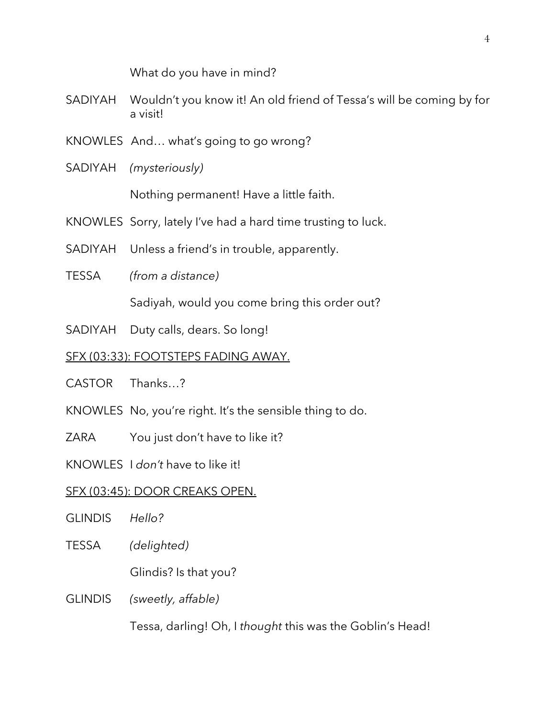What do you have in mind?

- SADIYAH Wouldn't you know it! An old friend of Tessa's will be coming by for a visit!
- KNOWLES And… what's going to go wrong?
- SADIYAH *(mysteriously)*

Nothing permanent! Have a little faith.

- KNOWLES Sorry, lately I've had a hard time trusting to luck.
- SADIYAH Unless a friend's in trouble, apparently.
- TESSA *(from a distance)*

Sadiyah, would you come bring this order out?

SADIYAH Duty calls, dears. So long!

## SFX (03:33): FOOTSTEPS FADING AWAY.

- CASTOR Thanks…?
- KNOWLES No, you're right. It's the sensible thing to do.
- ZARA You just don't have to like it?

KNOWLES I *don't* have to like it!

### SFX (03:45): DOOR CREAKS OPEN.

- GLINDIS *Hello?*
- TESSA *(delighted)*

Glindis? Is that you?

GLINDIS *(sweetly, affable)*

Tessa, darling! Oh, I *thought* this was the Goblin's Head!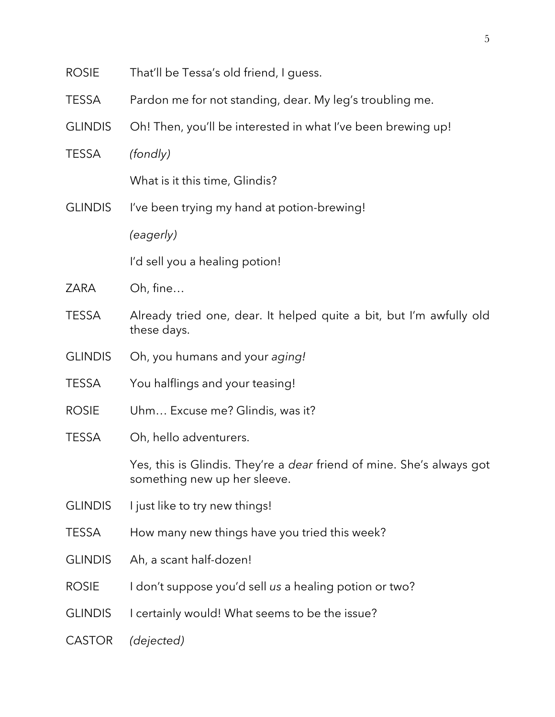| <b>ROSIE</b>   | That'll be Tessa's old friend, I guess.                                                                      |
|----------------|--------------------------------------------------------------------------------------------------------------|
| <b>TESSA</b>   | Pardon me for not standing, dear. My leg's troubling me.                                                     |
| <b>GLINDIS</b> | Oh! Then, you'll be interested in what I've been brewing up!                                                 |
| <b>TESSA</b>   | (fondly)                                                                                                     |
|                | What is it this time, Glindis?                                                                               |
| <b>GLINDIS</b> | I've been trying my hand at potion-brewing!                                                                  |
|                | (eagerly)                                                                                                    |
|                | I'd sell you a healing potion!                                                                               |
| ZARA           | Oh, fine                                                                                                     |
| <b>TESSA</b>   | Already tried one, dear. It helped quite a bit, but I'm awfully old<br>these days.                           |
| <b>GLINDIS</b> | Oh, you humans and your aging!                                                                               |
| <b>TESSA</b>   | You halflings and your teasing!                                                                              |
| <b>ROSIE</b>   | Uhm Excuse me? Glindis, was it?                                                                              |
| <b>TESSA</b>   | Oh, hello adventurers.                                                                                       |
|                | Yes, this is Glindis. They're a <i>dear</i> friend of mine. She's always got<br>something new up her sleeve. |
| <b>GLINDIS</b> | I just like to try new things!                                                                               |
| <b>TESSA</b>   | How many new things have you tried this week?                                                                |
| <b>GLINDIS</b> | Ah, a scant half-dozen!                                                                                      |
| <b>ROSIE</b>   | I don't suppose you'd sell us a healing potion or two?                                                       |
| <b>GLINDIS</b> | I certainly would! What seems to be the issue?                                                               |
| <b>CASTOR</b>  | (dejected)                                                                                                   |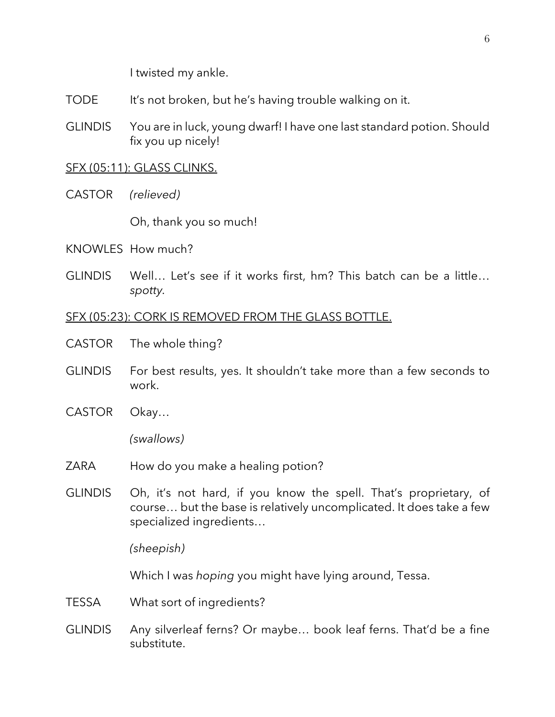I twisted my ankle.

- TODE It's not broken, but he's having trouble walking on it.
- GLINDIS You are in luck, young dwarf! I have one last standard potion. Should fix you up nicely!

## SFX (05:11): GLASS CLINKS.

CASTOR *(relieved)*

Oh, thank you so much!

- KNOWLES How much?
- GLINDIS Well… Let's see if it works first, hm? This batch can be a little… *spotty.*

### SFX (05:23): CORK IS REMOVED FROM THE GLASS BOTTLE.

- CASTOR The whole thing?
- GLINDIS For best results, yes. It shouldn't take more than a few seconds to work.
- CASTOR Okay…

*(swallows)*

- ZARA How do you make a healing potion?
- GLINDIS Oh, it's not hard, if you know the spell. That's proprietary, of course… but the base is relatively uncomplicated. It does take a few specialized ingredients…

*(sheepish)*

Which I was *hoping* you might have lying around, Tessa.

- TESSA What sort of ingredients?
- GLINDIS Any silverleaf ferns? Or maybe… book leaf ferns. That'd be a fine substitute.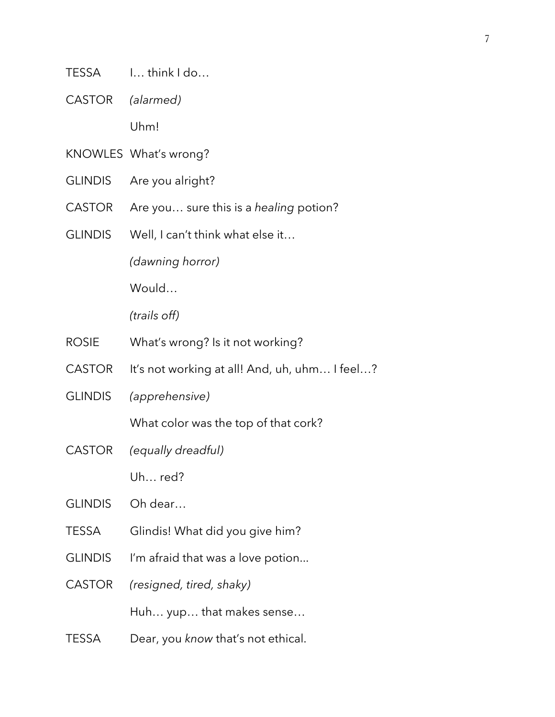- TESSA I… think I do…
- CASTOR *(alarmed)*

Uhm!

- KNOWLES What's wrong?
- GLINDIS Are you alright?
- CASTOR Are you… sure this is a *healing* potion?
- GLINDIS Well, I can't think what else it…

*(dawning horror)*

Would…

*(trails off)*

- ROSIE What's wrong? Is it not working?
- CASTOR It's not working at all! And, uh, uhm... I feel...?
- GLINDIS *(apprehensive)*

What color was the top of that cork?

CASTOR *(equally dreadful)*

Uh… red?

- GLINDIS Oh dear…
- TESSA Glindis! What did you give him?
- GLINDIS I'm afraid that was a love potion...
- CASTOR *(resigned, tired, shaky)*

Huh… yup… that makes sense…

TESSA Dear, you *know* that's not ethical.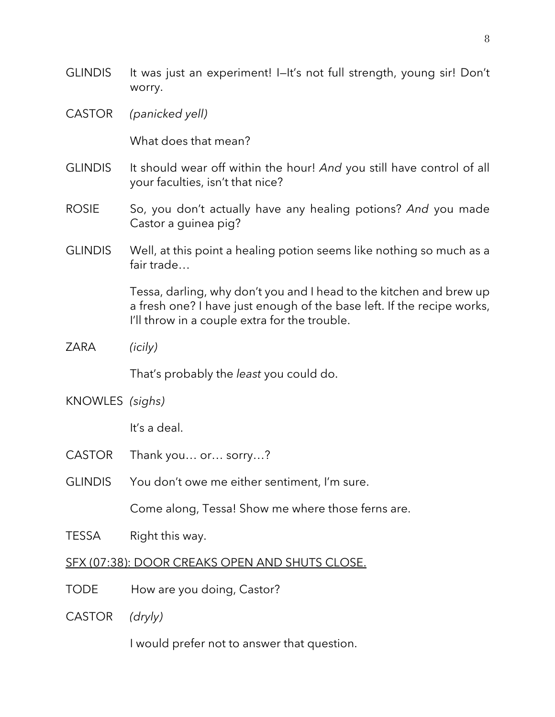GLINDIS It was just an experiment! I-It's not full strength, young sir! Don't worry. CASTOR *(panicked yell)* What does that mean? GLINDIS It should wear off within the hour! *And* you still have control of all your faculties, isn't that nice? ROSIE So, you don't actually have any healing potions? And you made Castor a guinea pig? GLINDIS Well, at this point a healing potion seems like nothing so much as a fair trade… Tessa, darling, why don't you and I head to the kitchen and brew up a fresh one? I have just enough of the base left. If the recipe works, I'll throw in a couple extra for the trouble. ZARA *(icily)* That's probably the *least* you could do. KNOWLES *(sighs)* It's a deal. CASTOR Thank you… or… sorry…? GLINDIS You don't owe me either sentiment, I'm sure. Come along, Tessa! Show me where those ferns are. TESSA Right this way. SFX (07:38): DOOR CREAKS OPEN AND SHUTS CLOSE. TODE How are you doing, Castor? CASTOR *(dryly)*

I would prefer not to answer that question.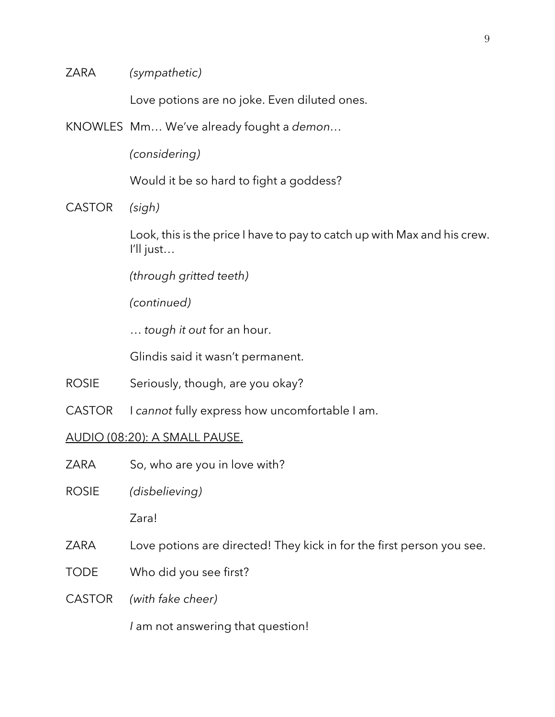ZARA *(sympathetic)*

Love potions are no joke. Even diluted ones.

KNOWLES Mm… We've already fought a *demon…*

*(considering)*

Would it be so hard to fight a goddess?

CASTOR *(sigh)*

Look, this is the price I have to pay to catch up with Max and his crew. I'll just…

*(through gritted teeth)*

*(continued)*

… *tough it out* for an hour.

Glindis said it wasn't permanent.

- ROSIE Seriously, though, are you okay?
- CASTOR I *cannot* fully express how uncomfortable I am.

#### AUDIO (08:20): A SMALL PAUSE.

- ZARA So, who are you in love with?
- ROSIE *(disbelieving)*

Zara!

- ZARA Love potions are directed! They kick in for the first person you see.
- TODE Who did you see first?
- CASTOR *(with fake cheer)*

*I* am not answering that question!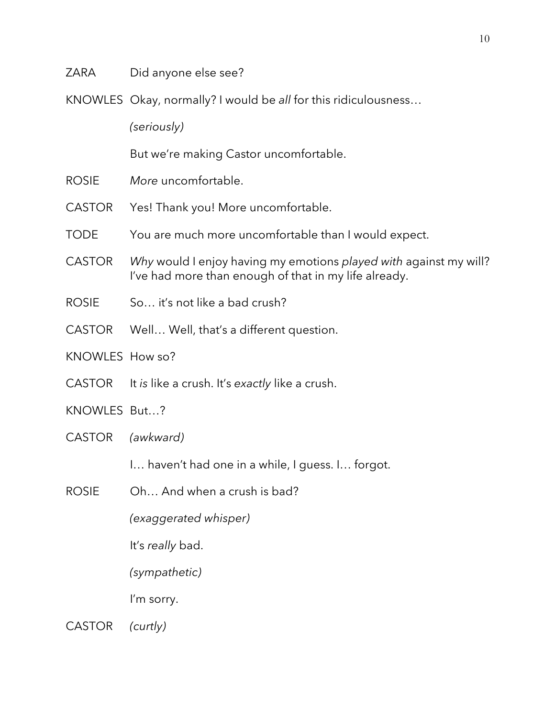- ZARA Did anyone else see?
- KNOWLES Okay, normally? I would be *all* for this ridiculousness…

*(seriously)*

But we're making Castor uncomfortable.

- ROSIE *More* uncomfortable.
- CASTOR Yes! Thank you! More uncomfortable.
- TODE You are much more uncomfortable than I would expect.
- CASTOR *Why* would I enjoy having my emotions *played with* against my will? I've had more than enough of that in my life already.
- ROSIE So... it's not like a bad crush?
- CASTOR Well… Well, that's a different question.
- KNOWLES How so?
- CASTOR It *is* like a crush. It's *exactly* like a crush.
- KNOWLES But…?
- CASTOR *(awkward)*
	- I… haven't had one in a while, I guess. I… forgot.
- ROSIE Oh… And when a crush is bad?

*(exaggerated whisper)*

It's *really* bad.

*(sympathetic)*

I'm sorry.

CASTOR *(curtly)*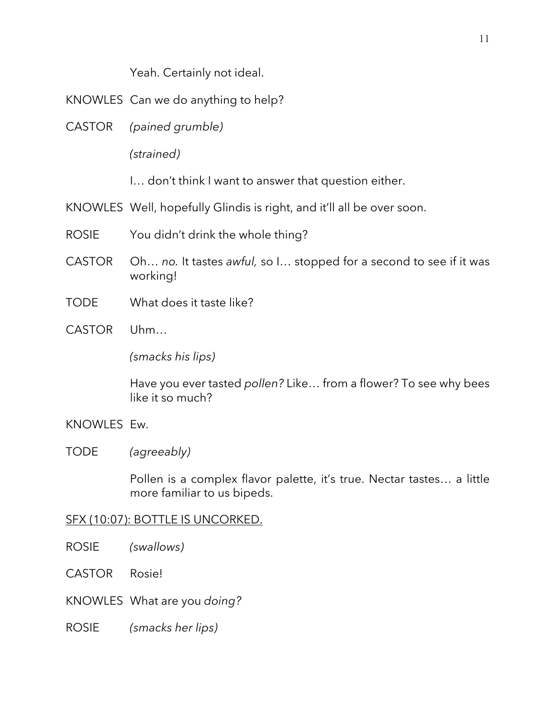Yeah. Certainly not ideal.

- KNOWLES Can we do anything to help?
- CASTOR *(pained grumble)*

*(strained)*

I… don't think I want to answer that question either.

- KNOWLES Well, hopefully Glindis is right, and it'll all be over soon.
- ROSIE You didn't drink the whole thing?
- CASTOR Oh… *no.* It tastes *awful,* so I… stopped for a second to see if it was working!
- TODE What does it taste like?
- CASTOR Uhm…

*(smacks his lips)*

Have you ever tasted *pollen?* Like… from a flower? To see why bees like it so much?

## KNOWLES Ew.

## TODE *(agreeably)*

Pollen is a complex flavor palette, it's true. Nectar tastes… a little more familiar to us bipeds.

## SFX (10:07): BOTTLE IS UNCORKED.

- ROSIE *(swallows)*
- CASTOR Rosie!
- KNOWLES What are you *doing?*
- ROSIE *(smacks her lips)*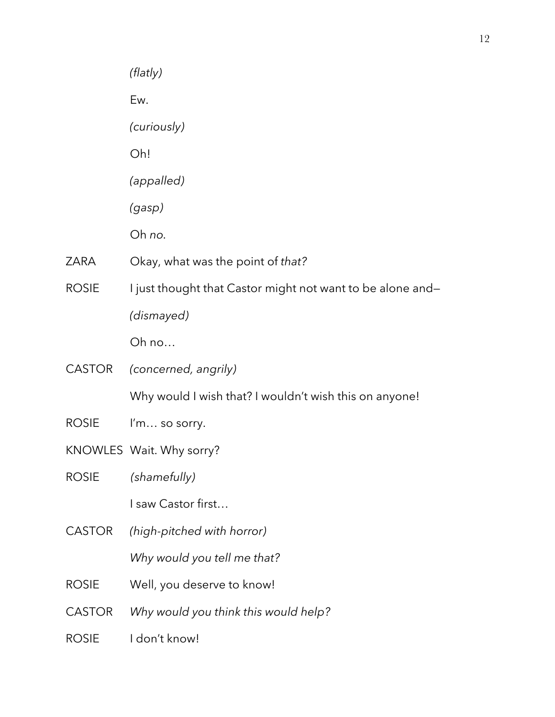|               | (flatly)                                                   |
|---------------|------------------------------------------------------------|
|               | Ew.                                                        |
|               | (curiously)                                                |
|               | Oh!                                                        |
|               | (appalled)                                                 |
|               | (gasp)                                                     |
|               | Oh no.                                                     |
| <b>ZARA</b>   | Okay, what was the point of that?                          |
| <b>ROSIE</b>  | I just thought that Castor might not want to be alone and- |
|               | (dismayed)                                                 |
|               | Oh no                                                      |
| <b>CASTOR</b> | (concerned, angrily)                                       |
|               | Why would I wish that? I wouldn't wish this on anyone!     |
| <b>ROSIE</b>  | I'm so sorry.                                              |
|               | KNOWLES Wait. Why sorry?                                   |
| <b>ROSIE</b>  | (shamefully)                                               |
|               | I saw Castor first                                         |
| <b>CASTOR</b> | (high-pitched with horror)                                 |
|               | Why would you tell me that?                                |
| <b>ROSIE</b>  | Well, you deserve to know!                                 |
| <b>CASTOR</b> | Why would you think this would help?                       |
| <b>ROSIE</b>  | I don't know!                                              |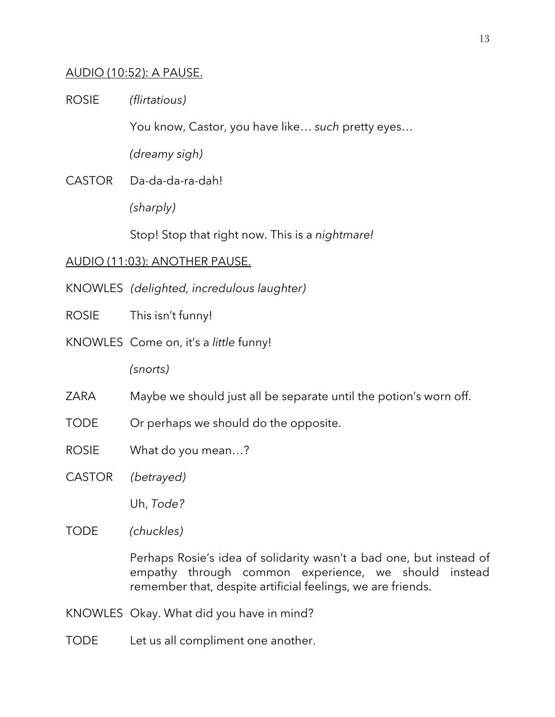## AUDIO (10:52): A PAUSE.

ROSIE *(flirtatious)*

You know, Castor, you have like… *such* pretty eyes…

*(dreamy sigh)*

CASTOR Da-da-da-ra-dah!

*(sharply)*

Stop! Stop that right now. This is a *nightmare!*

#### AUDIO (11:03): ANOTHER PAUSE.

- KNOWLES *(delighted, incredulous laughter)*
- ROSIE This isn't funny!
- KNOWLES Come on, it's a *little* funny!

*(snorts)*

- ZARA Maybe we should just all be separate until the potion's worn off.
- TODE Or perhaps we should do the opposite.
- ROSIE What do you mean…?
- CASTOR *(betrayed)*

Uh, *Tode?*

TODE *(chuckles)*

Perhaps Rosie's idea of solidarity wasn't a bad one, but instead of empathy through common experience, we should instead remember that, despite artificial feelings, we are friends.

- KNOWLES Okay. What did you have in mind?
- TODE Let us all compliment one another.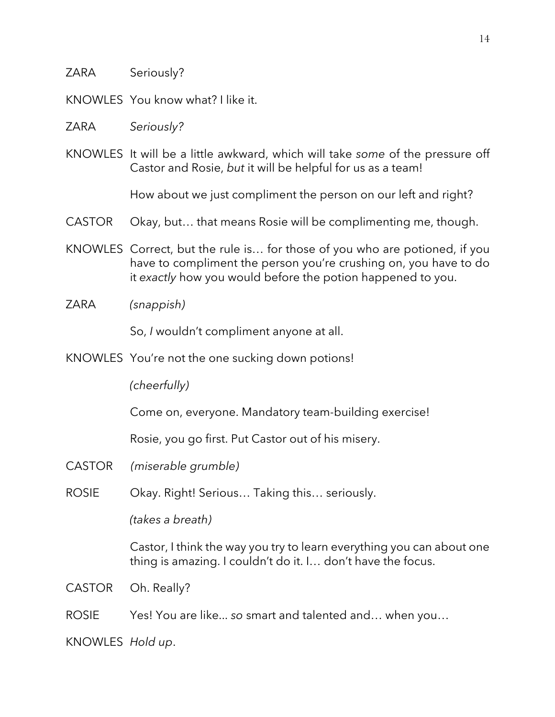- ZARA Seriously?
- KNOWLES You know what? I like it.
- ZARA *Seriously?*
- KNOWLES It will be a little awkward, which will take *some* of the pressure off Castor and Rosie, *but* it will be helpful for us as a team!

How about we just compliment the person on our left and right?

- CASTOR Okay, but... that means Rosie will be complimenting me, though.
- KNOWLES Correct, but the rule is… for those of you who are potioned, if you have to compliment the person you're crushing on, you have to do it *exactly* how you would before the potion happened to you.
- ZARA *(snappish)*

So, *I* wouldn't compliment anyone at all.

KNOWLES You're not the one sucking down potions!

*(cheerfully)*

Come on, everyone. Mandatory team-building exercise!

Rosie, you go first. Put Castor out of his misery.

- CASTOR *(miserable grumble)*
- ROSIE Okay. Right! Serious… Taking this… seriously.

*(takes a breath)*

Castor, I think the way you try to learn everything you can about one thing is amazing. I couldn't do it. I… don't have the focus.

CASTOR Oh. Really?

ROSIE Yes! You are like... *so* smart and talented and… when you…

KNOWLES *Hold up*.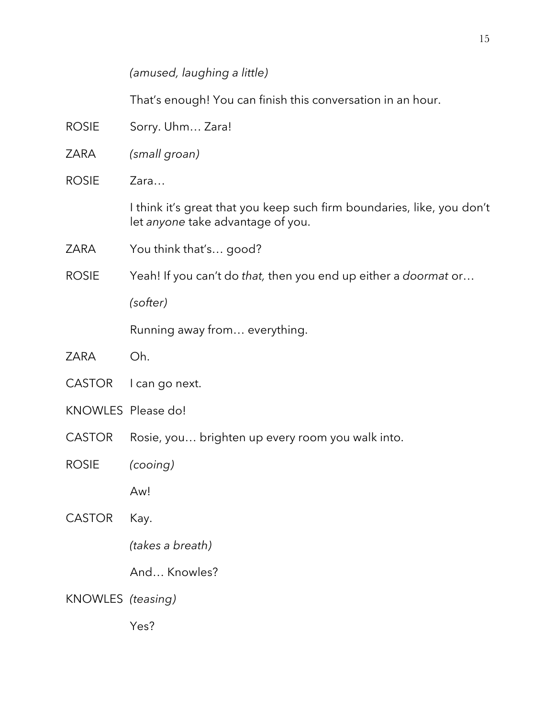*(amused, laughing a little)*

That's enough! You can finish this conversation in an hour.

- ROSIE Sorry. Uhm... Zara!
- ZARA *(small groan)*
- ROSIE Zara…

I think it's great that you keep such firm boundaries, like, you don't let *anyone* take advantage of you.

- ZARA You think that's… good?
- ROSIE Yeah! If you can't do *that,* then you end up either a *doormat* or…

*(softer)*

Running away from… everything.

- ZARA Oh.
- CASTOR l can go next.
- KNOWLES Please do!
- CASTOR Rosie, you... brighten up every room you walk into.
- ROSIE *(cooing)*

Aw!

- CASTOR Kay.
	- *(takes a breath)*
	- And… Knowles?
- KNOWLES *(teasing)*

Yes?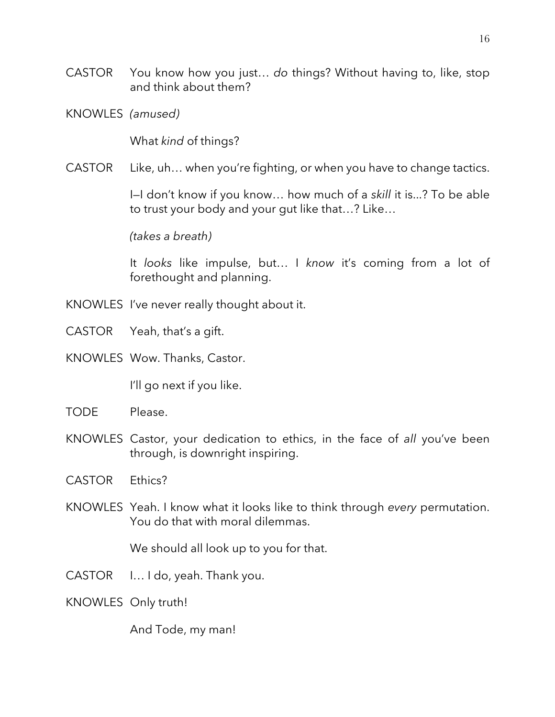- CASTOR You know how you just… *do* things? Without having to, like, stop and think about them?
- KNOWLES *(amused)*

What *kind* of things?

CASTOR Like, uh… when you're fighting, or when you have to change tactics.

I—I don't know if you know… how much of a *skill* it is...? To be able to trust your body and your gut like that…? Like…

*(takes a breath)*

It *looks* like impulse, but… I *know* it's coming from a lot of forethought and planning.

- KNOWLES I've never really thought about it.
- CASTOR Yeah, that's a gift.
- KNOWLES Wow. Thanks, Castor.

I'll go next if you like.

- TODE Please.
- KNOWLES Castor, your dedication to ethics, in the face of *all* you've been through, is downright inspiring.
- CASTOR Ethics?
- KNOWLES Yeah. I know what it looks like to think through *every* permutation. You do that with moral dilemmas.

We should all look up to you for that.

- CASTOR I… I do, yeah. Thank you.
- KNOWLES Only truth!

And Tode, my man!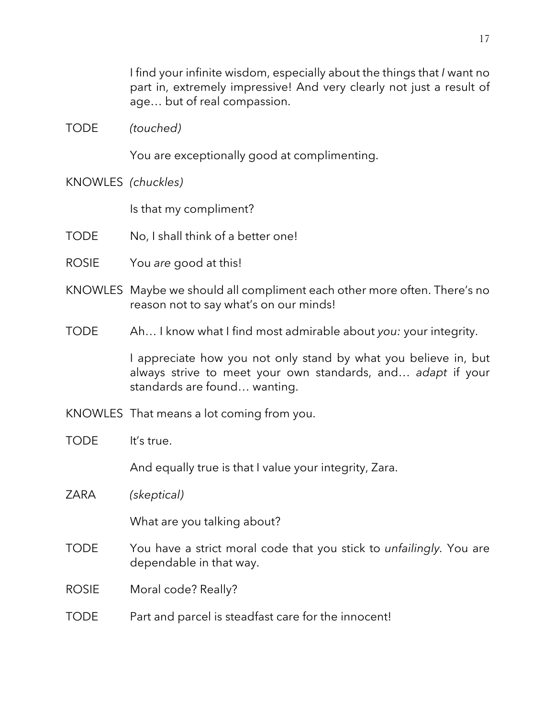I find your infinite wisdom, especially about the things that *I* want no part in, extremely impressive! And very clearly not just a result of age… but of real compassion.

TODE *(touched)*

You are exceptionally good at complimenting.

KNOWLES *(chuckles)*

Is that my compliment?

- TODE No, I shall think of a better one!
- ROSIE You *are* good at this!
- KNOWLES Maybe we should all compliment each other more often. There's no reason not to say what's on our minds!
- TODE Ah… I know what I find most admirable about *you:* your integrity.

I appreciate how you not only stand by what you believe in, but always strive to meet your own standards, and… *adapt* if your standards are found… wanting.

- KNOWLES That means a lot coming from you.
- TODE It's true.

And equally true is that I value your integrity, Zara.

ZARA *(skeptical)*

What are you talking about?

- TODE You have a strict moral code that you stick to *unfailingly.* You are dependable in that way.
- ROSIE Moral code? Really?

#### TODE Part and parcel is steadfast care for the innocent!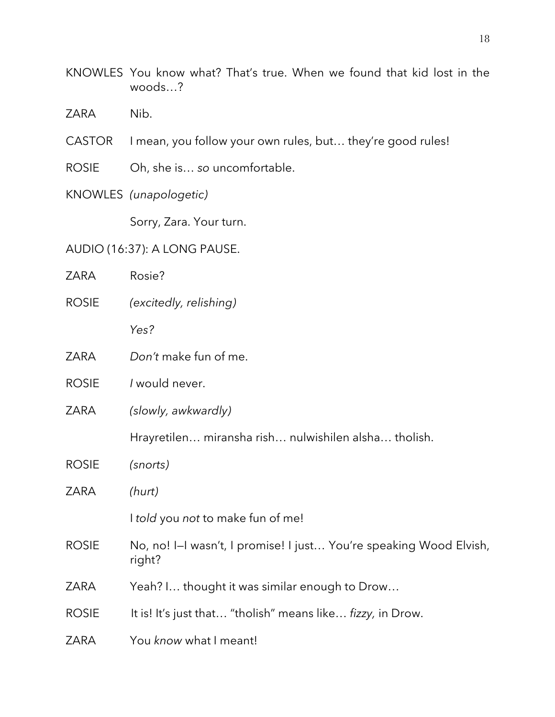- KNOWLES You know what? That's true. When we found that kid lost in the woods…?
- ZARA Nib.
- CASTOR I mean, you follow your own rules, but… they're good rules!
- ROSIE Oh, she is… *so* uncomfortable.
- KNOWLES *(unapologetic)*

Sorry, Zara. Your turn.

# AUDIO (16:37): A LONG PAUSE.

| ZARA         | Rosie?                                                                       |
|--------------|------------------------------------------------------------------------------|
| <b>ROSIE</b> | (excitedly, relishing)                                                       |
|              | Yes?                                                                         |
| ZARA         | Don't make fun of me.                                                        |
| <b>ROSIE</b> | I would never.                                                               |
| <b>ZARA</b>  | (slowly, awkwardly)                                                          |
|              | Hrayretilen miransha rish nulwishilen alsha tholish.                         |
| <b>ROSIE</b> | (snorts)                                                                     |
| <b>ZARA</b>  | (hurt)                                                                       |
|              | I told you not to make fun of me!                                            |
| <b>ROSIE</b> | No, no! I-I wasn't, I promise! I just You're speaking Wood Elvish,<br>right? |
| ZARA         | Yeah? I thought it was similar enough to Drow                                |
| <b>ROSIE</b> | It is! It's just that "tholish" means like fizzy, in Drow.                   |
| <b>ZARA</b>  | You know what I meant!                                                       |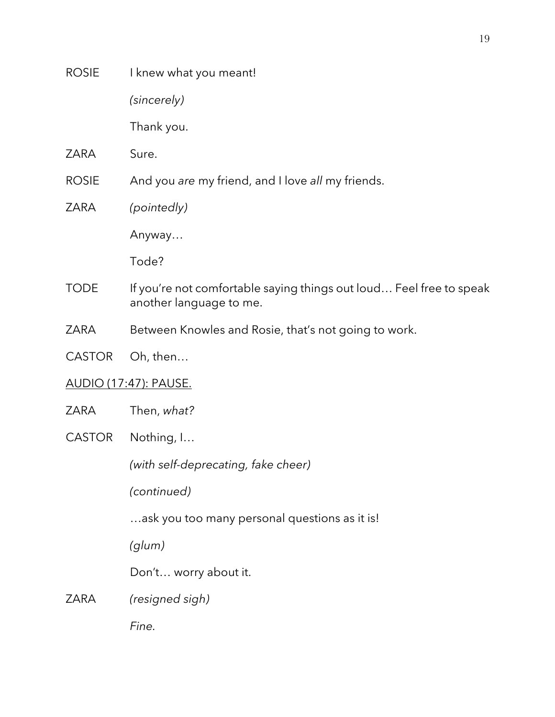*(sincerely)*

Thank you.

- ZARA Sure.
- ROSIE And you *are* my friend, and I love *all* my friends.
- ZARA *(pointedly)*

Anyway…

Tode?

- TODE If you're not comfortable saying things out loud... Feel free to speak another language to me.
- ZARA Between Knowles and Rosie, that's not going to work.
- CASTOR Oh, then…

# AUDIO (17:47): PAUSE.

- ZARA Then, *what?*
- CASTOR Nothing, I…

*(with self-deprecating, fake cheer)*

*(continued)*

…ask you too many personal questions as it is!

*(glum)*

Don't… worry about it.

# ZARA *(resigned sigh)*

*Fine.*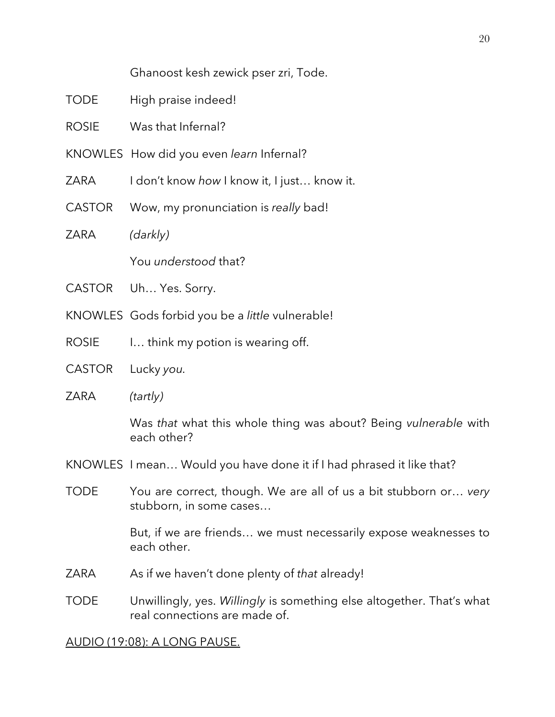Ghanoost kesh zewick pser zri, Tode.

- TODE High praise indeed!
- ROSIE Was that Infernal?
- KNOWLES How did you even *learn* Infernal?
- ZARA I don't know *how* I know it, I just… know it.
- CASTOR Wow, my pronunciation is *really* bad!
- ZARA *(darkly)*

You *understood* that?

- CASTOR Uh… Yes. Sorry.
- KNOWLES Gods forbid you be a *little* vulnerable!
- ROSIE I... think my potion is wearing off.
- CASTOR Lucky *you.*
- ZARA *(tartly)*

Was *that* what this whole thing was about? Being *vulnerable* with each other?

- KNOWLES I mean… Would you have done it if I had phrased it like that?
- TODE You are correct, though. We are all of us a bit stubborn or… *very* stubborn, in some cases…

But, if we are friends… we must necessarily expose weaknesses to each other.

- ZARA As if we haven't done plenty of *that* already!
- TODE Unwillingly, yes. *Willingly* is something else altogether. That's what real connections are made of.

## AUDIO (19:08): A LONG PAUSE.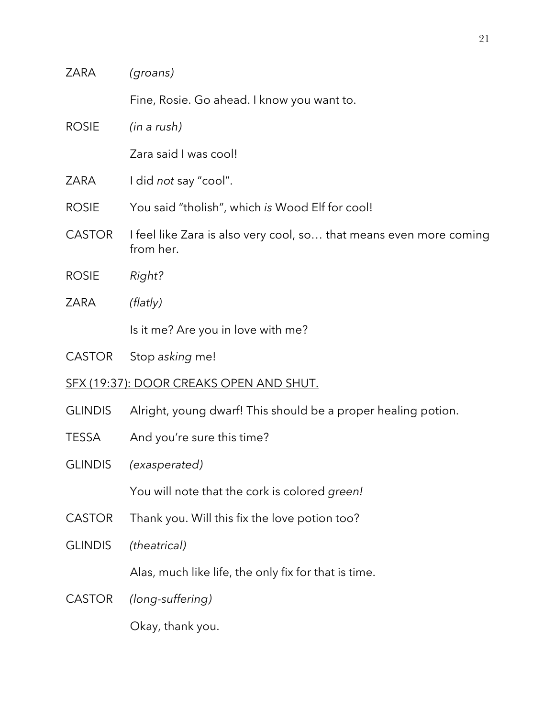| ZARA                                           | (groans)                                                                        |  |
|------------------------------------------------|---------------------------------------------------------------------------------|--|
|                                                | Fine, Rosie. Go ahead. I know you want to.                                      |  |
| <b>ROSIE</b>                                   | (in a rush)                                                                     |  |
|                                                | Zara said I was cool!                                                           |  |
| <b>ZARA</b>                                    | I did not say "cool".                                                           |  |
| <b>ROSIE</b>                                   | You said "tholish", which is Wood Elf for cool!                                 |  |
| <b>CASTOR</b>                                  | I feel like Zara is also very cool, so that means even more coming<br>from her. |  |
| <b>ROSIE</b>                                   | Right?                                                                          |  |
| <b>ZARA</b>                                    | (Hatly)                                                                         |  |
|                                                | Is it me? Are you in love with me?                                              |  |
| <b>CASTOR</b>                                  | Stop asking me!                                                                 |  |
| <u>SFX (19:37): DOOR CREAKS OPEN AND SHUT.</u> |                                                                                 |  |
| <b>GLINDIS</b>                                 | Alright, young dwarf! This should be a proper healing potion.                   |  |
| <b>TESSA</b>                                   | And you're sure this time?                                                      |  |
| <b>GLINDIS</b>                                 | (exasperated)                                                                   |  |
|                                                | You will note that the cork is colored green!                                   |  |
| <b>CASTOR</b>                                  | Thank you. Will this fix the love potion too?                                   |  |
| <b>GLINDIS</b>                                 | (theatrical)                                                                    |  |
|                                                | Alas, much like life, the only fix for that is time.                            |  |
| <b>CASTOR</b>                                  | (long-suffering)                                                                |  |
|                                                | Okay, thank you.                                                                |  |
|                                                |                                                                                 |  |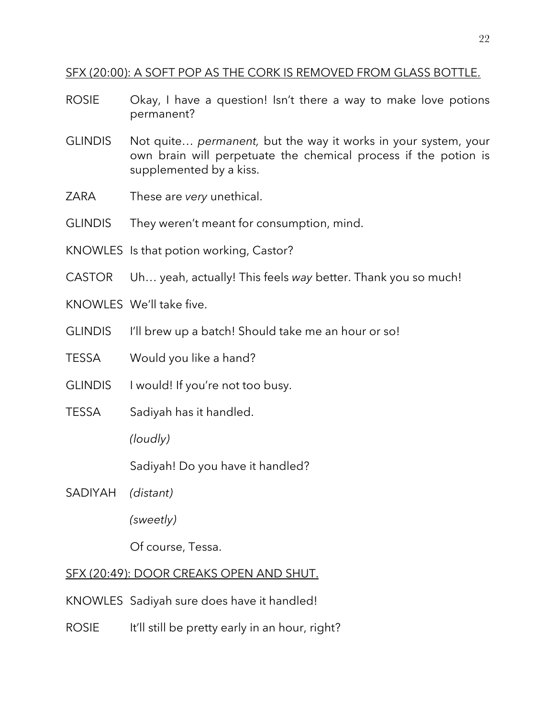## SFX (20:00): A SOFT POP AS THE CORK IS REMOVED FROM GLASS BOTTLE.

- ROSIE Okay, I have a question! Isn't there a way to make love potions permanent?
- GLINDIS Not quite… *permanent,* but the way it works in your system, your own brain will perpetuate the chemical process if the potion is supplemented by a kiss.
- ZARA These are *very* unethical.
- GLINDIS They weren't meant for consumption, mind.
- KNOWLES Is that potion working, Castor?
- CASTOR Uh… yeah, actually! This feels *way* better. Thank you so much!
- KNOWLES We'll take five.
- GLINDIS I'll brew up a batch! Should take me an hour or so!
- TESSA Would you like a hand?
- GLINDIS I would! If you're not too busy.
- TESSA Sadiyah has it handled.

*(loudly)*

Sadiyah! Do you have it handled?

SADIYAH *(distant)*

*(sweetly)*

Of course, Tessa.

## SFX (20:49): DOOR CREAKS OPEN AND SHUT.

- KNOWLES Sadiyah sure does have it handled!
- ROSIE It'll still be pretty early in an hour, right?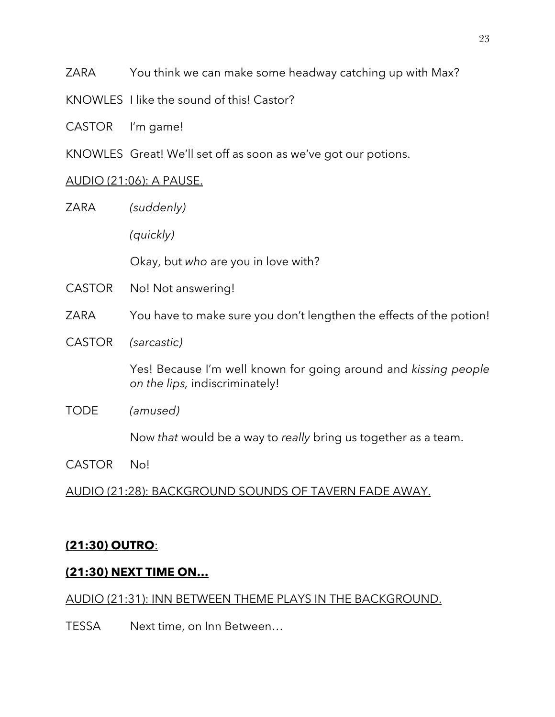ZARA You think we can make some headway catching up with Max?

KNOWLES I like the sound of this! Castor?

CASTOR I'm game!

KNOWLES Great! We'll set off as soon as we've got our potions.

# AUDIO (21:06): A PAUSE.

| ZARA          | (suddenly)                                                                                        |
|---------------|---------------------------------------------------------------------------------------------------|
|               | (quickly)                                                                                         |
|               | Okay, but who are you in love with?                                                               |
| <b>CASTOR</b> | No! Not answering!                                                                                |
| ZARA          | You have to make sure you don't lengthen the effects of the potion!                               |
| <b>CASTOR</b> | (sarcastic)                                                                                       |
|               | Yes! Because I'm well known for going around and kissing people<br>on the lips, indiscriminately! |
| <b>TODE</b>   | (amused)                                                                                          |
|               | Now that would be a way to really bring us together as a team.                                    |
|               |                                                                                                   |

CASTOR No!

AUDIO (21:28): BACKGROUND SOUNDS OF TAVERN FADE AWAY.

# **(21:30) OUTRO**:

# **(21:30) NEXT TIME ON…**

# AUDIO (21:31): INN BETWEEN THEME PLAYS IN THE BACKGROUND.

TESSA Next time, on Inn Between…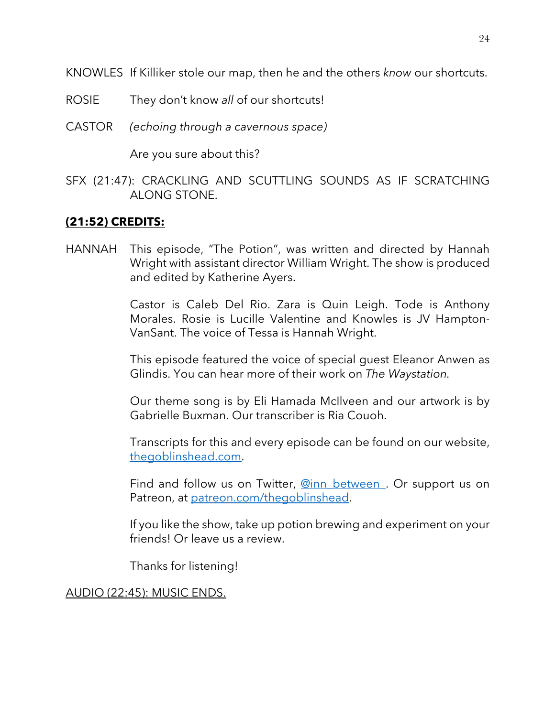KNOWLES If Killiker stole our map, then he and the others *know* our shortcuts.

- ROSIE They don't know *all* of our shortcuts!
- CASTOR *(echoing through a cavernous space)*

Are you sure about this?

SFX (21:47): CRACKLING AND SCUTTLING SOUNDS AS IF SCRATCHING ALONG STONE.

# **(21:52) CREDITS:**

HANNAH This episode, "The Potion", was written and directed by Hannah Wright with assistant director William Wright. The show is produced and edited by Katherine Ayers.

> Castor is Caleb Del Rio. Zara is Quin Leigh. Tode is Anthony Morales. Rosie is Lucille Valentine and Knowles is JV Hampton-VanSant. The voice of Tessa is Hannah Wright.

> This episode featured the voice of special guest Eleanor Anwen as Glindis. You can hear more of their work on *The Waystation.*

> Our theme song is by Eli Hamada McIlveen and our artwork is by Gabrielle Buxman. Our transcriber is Ria Couoh.

> Transcripts for this and every episode can be found on our website, thegoblinshead.com.

> Find and follow us on Twitter, @inn\_between. Or support us on Patreon, at patreon.com/thegoblinshead.

> If you like the show, take up potion brewing and experiment on your friends! Or leave us a review.

Thanks for listening!

AUDIO (22:45): MUSIC ENDS.